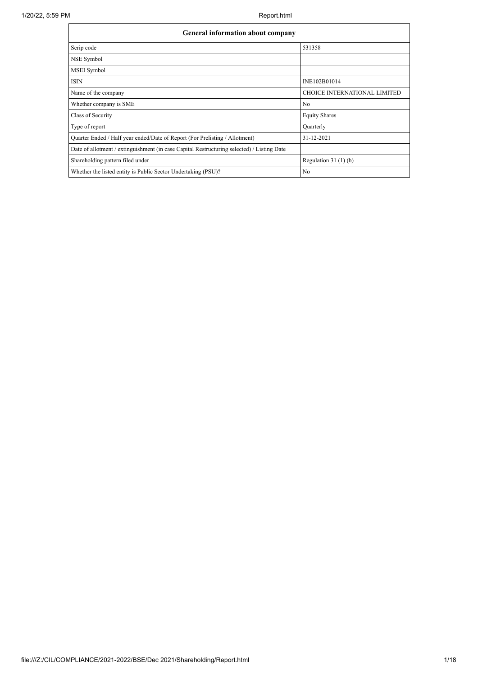| <b>General information about company</b>                                                   |                                     |  |  |  |  |  |  |
|--------------------------------------------------------------------------------------------|-------------------------------------|--|--|--|--|--|--|
| Scrip code                                                                                 | 531358                              |  |  |  |  |  |  |
| NSE Symbol                                                                                 |                                     |  |  |  |  |  |  |
| MSEI Symbol                                                                                |                                     |  |  |  |  |  |  |
| <b>ISIN</b>                                                                                | INE102B01014                        |  |  |  |  |  |  |
| Name of the company                                                                        | <b>CHOICE INTERNATIONAL LIMITED</b> |  |  |  |  |  |  |
| Whether company is SME                                                                     | No                                  |  |  |  |  |  |  |
| Class of Security                                                                          | <b>Equity Shares</b>                |  |  |  |  |  |  |
| Type of report                                                                             | Quarterly                           |  |  |  |  |  |  |
| Quarter Ended / Half year ended/Date of Report (For Prelisting / Allotment)                | 31-12-2021                          |  |  |  |  |  |  |
| Date of allotment / extinguishment (in case Capital Restructuring selected) / Listing Date |                                     |  |  |  |  |  |  |
| Shareholding pattern filed under                                                           | Regulation $31(1)(b)$               |  |  |  |  |  |  |
| Whether the listed entity is Public Sector Undertaking (PSU)?                              | No                                  |  |  |  |  |  |  |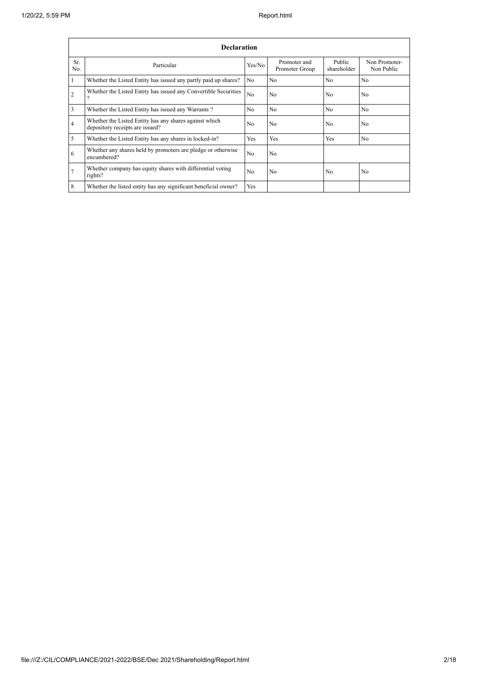|                | <b>Declaration</b>                                                                        |                |                                |                       |                             |  |  |  |
|----------------|-------------------------------------------------------------------------------------------|----------------|--------------------------------|-----------------------|-----------------------------|--|--|--|
| Sr.<br>No.     | Particular                                                                                | Yes/No         | Promoter and<br>Promoter Group | Public<br>shareholder | Non Promoter-<br>Non Public |  |  |  |
|                | Whether the Listed Entity has issued any partly paid up shares?                           | N <sub>o</sub> | N <sub>0</sub>                 | N <sub>0</sub>        | N <sub>o</sub>              |  |  |  |
| $\overline{2}$ | Whether the Listed Entity has issued any Convertible Securities                           | N <sub>o</sub> | N <sub>0</sub>                 | N <sub>0</sub>        | N <sub>0</sub>              |  |  |  |
| 3              | Whether the Listed Entity has issued any Warrants?                                        | No             | N <sub>o</sub>                 | N <sub>o</sub>        | No                          |  |  |  |
| 4              | Whether the Listed Entity has any shares against which<br>depository receipts are issued? | No             | N <sub>o</sub>                 | N <sub>o</sub>        | No                          |  |  |  |
| 5              | Whether the Listed Entity has any shares in locked-in?                                    | Yes            | Yes                            | Yes                   | No                          |  |  |  |
| 6              | Whether any shares held by promoters are pledge or otherwise<br>encumbered?               | N <sub>o</sub> | N <sub>o</sub>                 |                       |                             |  |  |  |
|                | Whether company has equity shares with differential voting<br>rights?                     | No             | N <sub>0</sub>                 | N <sub>o</sub>        | No                          |  |  |  |
| 8              | Whether the listed entity has any significant beneficial owner?                           | Yes            |                                |                       |                             |  |  |  |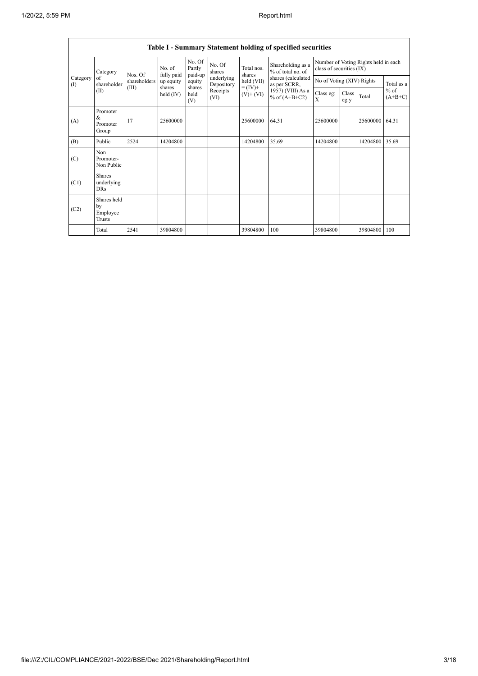|                          | Table I - Summary Statement holding of specified securities |              |                       |                             |                          |                                                                    |                                                                                                                      |                                                                  |               |          |                     |
|--------------------------|-------------------------------------------------------------|--------------|-----------------------|-----------------------------|--------------------------|--------------------------------------------------------------------|----------------------------------------------------------------------------------------------------------------------|------------------------------------------------------------------|---------------|----------|---------------------|
|                          | Category<br>of<br>shareholder<br>(II)                       | Nos. Of      | No. of<br>fully paid  | No. Of<br>Partly<br>paid-up | No. Of<br>shares         | Total nos.<br>shares<br>held (VII)<br>$= (IV) +$<br>$(V)$ + $(VI)$ | Shareholding as a<br>% of total no. of<br>shares (calculated<br>as per SCRR,<br>1957) (VIII) As a<br>% of $(A+B+C2)$ | Number of Voting Rights held in each<br>class of securities (IX) |               |          |                     |
| Category<br>$($ $\Gamma$ |                                                             | shareholders | up equity             | equity                      | underlying<br>Depository |                                                                    |                                                                                                                      | No of Voting (XIV) Rights                                        |               |          | Total as a          |
|                          |                                                             | (III)        | shares<br>held $(IV)$ | shares<br>held<br>(V)       | Receipts<br>(VI)         |                                                                    |                                                                                                                      | Class eg:<br>$\mathbf{X}$                                        | Class<br>eg:y | Total    | $%$ of<br>$(A+B+C)$ |
| (A)                      | Promoter<br>&<br>Promoter<br>Group                          | 17           | 25600000              |                             |                          | 25600000                                                           | 64.31                                                                                                                | 25600000                                                         |               | 25600000 | 64.31               |
| (B)                      | Public                                                      | 2524         | 14204800              |                             |                          | 14204800                                                           | 35.69                                                                                                                | 14204800                                                         |               | 14204800 | 35.69               |
| (C)                      | Non<br>Promoter-<br>Non Public                              |              |                       |                             |                          |                                                                    |                                                                                                                      |                                                                  |               |          |                     |
| (C1)                     | <b>Shares</b><br>underlying<br><b>DRs</b>                   |              |                       |                             |                          |                                                                    |                                                                                                                      |                                                                  |               |          |                     |
| (C2)                     | Shares held<br>by<br>Employee<br><b>Trusts</b>              |              |                       |                             |                          |                                                                    |                                                                                                                      |                                                                  |               |          |                     |
|                          | Total                                                       | 2541         | 39804800              |                             |                          | 39804800                                                           | 100                                                                                                                  | 39804800                                                         |               | 39804800 | 100                 |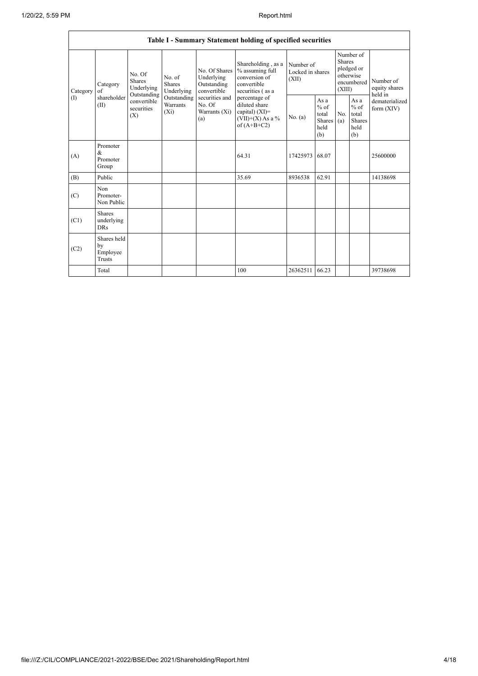|                 | Table I - Summary Statement holding of specified securities |                                                                                                                                                                         |                                                  |                                                                                            |                                                                                           |                                                  |            |                                                                        |                                           |                            |
|-----------------|-------------------------------------------------------------|-------------------------------------------------------------------------------------------------------------------------------------------------------------------------|--------------------------------------------------|--------------------------------------------------------------------------------------------|-------------------------------------------------------------------------------------------|--------------------------------------------------|------------|------------------------------------------------------------------------|-------------------------------------------|----------------------------|
| Category<br>(I) | Category<br>$\alpha$ f<br>shareholder<br>(II)               | No. Of<br>No. of<br><b>Shares</b><br><b>Shares</b><br>Underlying<br>Underlying<br>Outstanding<br>Outstanding<br>convertible<br>Warrants<br>securities<br>$(X_i)$<br>(X) |                                                  | No. Of Shares<br>Underlying<br>Outstanding<br>convertible                                  | Shareholding, as a<br>% assuming full<br>conversion of<br>convertible<br>securities (as a | Number of<br>Locked in shares<br>(XII)           |            | Number of<br>Shares<br>pledged or<br>otherwise<br>encumbered<br>(XIII) |                                           | Number of<br>equity shares |
|                 |                                                             |                                                                                                                                                                         | securities and<br>No. Of<br>Warrants (Xi)<br>(a) | percentage of<br>diluted share<br>capital) $(XI)$ =<br>$(VII)+(X)$ As a %<br>of $(A+B+C2)$ | No. (a)                                                                                   | As a<br>$%$ of<br>total<br>Shares<br>held<br>(b) | No.<br>(a) | As a<br>$%$ of<br>total<br>Shares<br>held<br>(b)                       | held in<br>dematerialized<br>form $(XIV)$ |                            |
| (A)             | Promoter<br>&<br>Promoter<br>Group                          |                                                                                                                                                                         |                                                  |                                                                                            | 64.31                                                                                     | 17425973                                         | 68.07      |                                                                        |                                           | 25600000                   |
| (B)             | Public                                                      |                                                                                                                                                                         |                                                  |                                                                                            | 35.69                                                                                     | 8936538                                          | 62.91      |                                                                        |                                           | 14138698                   |
| (C)             | Non<br>Promoter-<br>Non Public                              |                                                                                                                                                                         |                                                  |                                                                                            |                                                                                           |                                                  |            |                                                                        |                                           |                            |
| (C1)            | Shares<br>underlying<br><b>DRs</b>                          |                                                                                                                                                                         |                                                  |                                                                                            |                                                                                           |                                                  |            |                                                                        |                                           |                            |
| (C2)            | Shares held<br>by<br>Employee<br><b>Trusts</b>              |                                                                                                                                                                         |                                                  |                                                                                            |                                                                                           |                                                  |            |                                                                        |                                           |                            |
|                 | Total                                                       |                                                                                                                                                                         |                                                  |                                                                                            | 100                                                                                       | 26362511                                         | 66.23      |                                                                        |                                           | 39738698                   |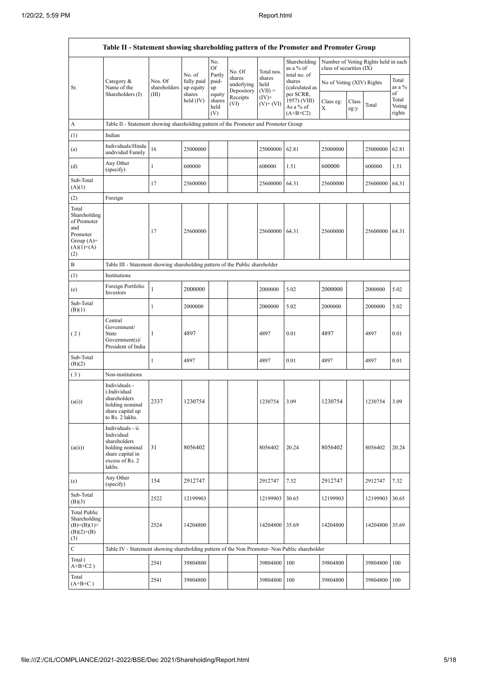|                                                                                                 | Table II - Statement showing shareholding pattern of the Promoter and Promoter Group                                |                                                                              |                                   |                       |                                    |                             |                                           |                           |               |                                      |                           |
|-------------------------------------------------------------------------------------------------|---------------------------------------------------------------------------------------------------------------------|------------------------------------------------------------------------------|-----------------------------------|-----------------------|------------------------------------|-----------------------------|-------------------------------------------|---------------------------|---------------|--------------------------------------|---------------------------|
|                                                                                                 |                                                                                                                     |                                                                              | No. of                            | No.<br>Of<br>Partly   | No. Of                             | Total nos.                  | Shareholding<br>as a % of<br>total no. of | class of securities (IX)  |               | Number of Voting Rights held in each |                           |
| Sr.                                                                                             | Category &<br>Name of the<br>Shareholders (I)                                                                       | Nos. Of<br>shareholders<br>(III)                                             | fully paid<br>up equity<br>shares | paid-<br>up<br>equity | shares<br>underlying<br>Depository | shares<br>held<br>$(VII) =$ | shares<br>(calculated as<br>per SCRR,     | No of Voting (XIV) Rights |               |                                      | Total<br>as a %<br>of     |
|                                                                                                 |                                                                                                                     |                                                                              | held $(IV)$                       | shares<br>held<br>(V) | Receipts<br>(VI)                   | $(IV)^+$<br>$(V)$ + $(VI)$  | 1957) (VIII)<br>As a % of<br>$(A+B+C2)$   | Class eg:<br>X            | Class<br>eg:y | Total                                | Total<br>Voting<br>rights |
| А                                                                                               | Table II - Statement showing shareholding pattern of the Promoter and Promoter Group                                |                                                                              |                                   |                       |                                    |                             |                                           |                           |               |                                      |                           |
| (1)                                                                                             | Indian                                                                                                              |                                                                              |                                   |                       |                                    |                             |                                           |                           |               |                                      |                           |
| (a)                                                                                             | Individuals/Hindu<br>undivided Family                                                                               | 16                                                                           | 25000000                          |                       |                                    | 25000000                    | 62.81                                     | 25000000                  |               | 25000000                             | 62.81                     |
| (d)                                                                                             | Any Other<br>(specify)                                                                                              | $\mathbf{1}$                                                                 | 600000                            |                       |                                    | 600000                      | 1.51                                      | 600000                    |               | 600000                               | 1.51                      |
| Sub-Total<br>(A)(1)                                                                             |                                                                                                                     | 17                                                                           | 25600000                          |                       |                                    | 25600000                    | 64.31                                     | 25600000                  |               | 25600000                             | 64.31                     |
| (2)                                                                                             | Foreign                                                                                                             |                                                                              |                                   |                       |                                    |                             |                                           |                           |               |                                      |                           |
| Total<br>Shareholding<br>of Promoter<br>and<br>Promoter<br>Group $(A)$ =<br>$(A)(1)+(A)$<br>(2) |                                                                                                                     | 17                                                                           | 25600000                          |                       |                                    | 25600000                    | 64.31                                     | 25600000                  |               | 25600000                             | 64.31                     |
| B                                                                                               |                                                                                                                     | Table III - Statement showing shareholding pattern of the Public shareholder |                                   |                       |                                    |                             |                                           |                           |               |                                      |                           |
| (1)                                                                                             | Institutions                                                                                                        |                                                                              |                                   |                       |                                    |                             |                                           |                           |               |                                      |                           |
| (e)                                                                                             | Foreign Portfolio<br>Investors                                                                                      | $\mathbf{1}$                                                                 | 2000000                           |                       |                                    | 2000000                     | 5.02                                      | 2000000                   |               | 2000000                              | 5.02                      |
| Sub-Total<br>(B)(1)                                                                             |                                                                                                                     | 1                                                                            | 2000000                           |                       |                                    | 2000000                     | 5.02                                      | 2000000                   |               | 2000000                              | 5.02                      |
| (2)                                                                                             | Central<br>Government/<br>State<br>Government(s)<br>President of India                                              | 1                                                                            | 4897                              |                       |                                    | 4897                        | 0.01                                      | 4897                      |               | 4897                                 | 0.01                      |
| Sub-Total<br>(B)(2)                                                                             |                                                                                                                     | $\mathbf{1}$                                                                 | 4897                              |                       |                                    | 4897                        | 0.01                                      | 4897                      |               | 4897                                 | 0.01                      |
| (3)                                                                                             | Non-institutions                                                                                                    |                                                                              |                                   |                       |                                    |                             |                                           |                           |               |                                      |                           |
| (a(i))                                                                                          | Individuals -<br>i.Individual<br>shareholders<br>holding nominal<br>share capital up<br>to Rs. 2 lakhs.             | 2337                                                                         | 1230754                           |                       |                                    | 1230754                     | 3.09                                      | 1230754                   |               | 1230754                              | 3.09                      |
| (a(ii))                                                                                         | Individuals - ii.<br>Individual<br>shareholders<br>holding nominal<br>share capital in<br>excess of Rs. 2<br>lakhs. | 31                                                                           | 8056402                           |                       |                                    | 8056402                     | 20.24                                     | 8056402                   |               | 8056402                              | 20.24                     |
| (e)                                                                                             | Any Other<br>(specify)                                                                                              | 154                                                                          | 2912747                           |                       |                                    | 2912747                     | 7.32                                      | 2912747                   |               | 2912747                              | 7.32                      |
| Sub-Total<br>(B)(3)                                                                             |                                                                                                                     | 2522                                                                         | 12199903                          |                       |                                    | 12199903                    | 30.65                                     | 12199903                  |               | 12199903                             | 30.65                     |
| <b>Total Public</b><br>Shareholding<br>$(B)=(B)(1)+$<br>$(B)(2)+(B)$<br>(3)                     |                                                                                                                     | 2524                                                                         | 14204800                          |                       |                                    | 14204800 35.69              |                                           | 14204800                  |               | 14204800                             | 35.69                     |
| $\mathbf C$                                                                                     | Table IV - Statement showing shareholding pattern of the Non Promoter- Non Public shareholder                       |                                                                              |                                   |                       |                                    |                             |                                           |                           |               |                                      |                           |
| Total (<br>$A+B+C2$ )                                                                           |                                                                                                                     | 2541                                                                         | 39804800                          |                       |                                    | 39804800                    | 100                                       | 39804800                  |               | 39804800                             | 100                       |
| Total<br>$(A+B+C)$                                                                              |                                                                                                                     | 2541                                                                         | 39804800                          |                       |                                    | 39804800                    | 100                                       | 39804800                  |               | 39804800                             | 100                       |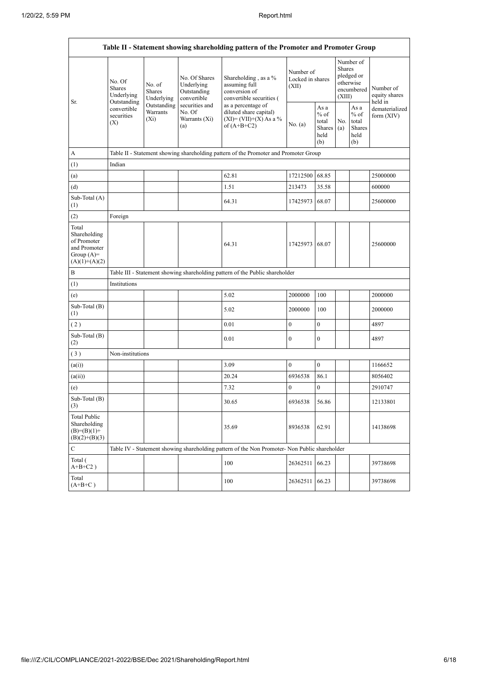|                                                                                         | Table II - Statement showing shareholding pattern of the Promoter and Promoter Group |                                                                                                                                                     |               |                                                                                               |                  |                                                  |            |                                                                        |                                       |
|-----------------------------------------------------------------------------------------|--------------------------------------------------------------------------------------|-----------------------------------------------------------------------------------------------------------------------------------------------------|---------------|-----------------------------------------------------------------------------------------------|------------------|--------------------------------------------------|------------|------------------------------------------------------------------------|---------------------------------------|
| Sr.                                                                                     | No. Of<br>Shares<br>Underlying<br>Outstanding<br>convertible<br>securities<br>(X)    | Underlying<br>No. of<br>Shares<br>Outstanding<br>Underlying<br>convertible<br>Outstanding<br>securities and<br>No. Of<br>Warrants<br>$(X_i)$<br>(a) | No. Of Shares | Shareholding, as a $%$<br>assuming full<br>conversion of<br>convertible securities (          | (XII)            | Number of<br>Locked in shares                    |            | Number of<br>Shares<br>pledged or<br>otherwise<br>encumbered<br>(XIII) | Number of<br>equity shares<br>held in |
|                                                                                         |                                                                                      |                                                                                                                                                     | Warrants (Xi) | as a percentage of<br>diluted share capital)<br>$(XI) = (VII)+(X) As a %$<br>of $(A+B+C2)$    | No. (a)          | As a<br>$%$ of<br>total<br>Shares<br>held<br>(b) | No.<br>(a) | As a<br>$%$ of<br>total<br>Shares<br>held<br>(b)                       | dematerialized<br>form $(XIV)$        |
| A                                                                                       |                                                                                      |                                                                                                                                                     |               | Table II - Statement showing shareholding pattern of the Promoter and Promoter Group          |                  |                                                  |            |                                                                        |                                       |
| (1)                                                                                     | Indian                                                                               |                                                                                                                                                     |               |                                                                                               |                  |                                                  |            |                                                                        |                                       |
| (a)                                                                                     |                                                                                      |                                                                                                                                                     |               | 62.81                                                                                         | 17212500         | 68.85                                            |            |                                                                        | 25000000                              |
| (d)                                                                                     |                                                                                      |                                                                                                                                                     |               | 1.51                                                                                          | 213473           | 35.58                                            |            |                                                                        | 600000                                |
| Sub-Total (A)<br>(1)                                                                    |                                                                                      |                                                                                                                                                     |               | 64.31                                                                                         | 17425973         | 68.07                                            |            |                                                                        | 25600000                              |
| (2)                                                                                     | Foreign                                                                              |                                                                                                                                                     |               |                                                                                               |                  |                                                  |            |                                                                        |                                       |
| Total<br>Shareholding<br>of Promoter<br>and Promoter<br>Group $(A)=$<br>$(A)(1)+(A)(2)$ |                                                                                      |                                                                                                                                                     |               | 64.31                                                                                         | 17425973 68.07   |                                                  |            |                                                                        | 25600000                              |
| B                                                                                       |                                                                                      | Table III - Statement showing shareholding pattern of the Public shareholder                                                                        |               |                                                                                               |                  |                                                  |            |                                                                        |                                       |
| (1)                                                                                     | Institutions                                                                         |                                                                                                                                                     |               |                                                                                               |                  |                                                  |            |                                                                        |                                       |
| (e)                                                                                     |                                                                                      |                                                                                                                                                     |               | 5.02                                                                                          | 2000000          | 100                                              |            |                                                                        | 2000000                               |
| Sub-Total (B)<br>(1)                                                                    |                                                                                      |                                                                                                                                                     |               | 5.02                                                                                          | 2000000          | 100                                              |            |                                                                        | 2000000                               |
| (2)                                                                                     |                                                                                      |                                                                                                                                                     |               | 0.01                                                                                          | $\boldsymbol{0}$ | $\mathbf{0}$                                     |            |                                                                        | 4897                                  |
| Sub-Total (B)<br>(2)                                                                    |                                                                                      |                                                                                                                                                     |               | 0.01                                                                                          | $\mathbf{0}$     | $\mathbf{0}$                                     |            |                                                                        | 4897                                  |
| (3)                                                                                     | Non-institutions                                                                     |                                                                                                                                                     |               |                                                                                               |                  |                                                  |            |                                                                        |                                       |
| (a(i))                                                                                  |                                                                                      |                                                                                                                                                     |               | 3.09                                                                                          | $\boldsymbol{0}$ | $\boldsymbol{0}$                                 |            |                                                                        | 1166652                               |
| (a(ii))                                                                                 |                                                                                      |                                                                                                                                                     |               | 20.24                                                                                         | 6936538          | 86.1                                             |            |                                                                        | 8056402                               |
| (e)                                                                                     |                                                                                      |                                                                                                                                                     |               | 7.32                                                                                          | $\boldsymbol{0}$ | $\boldsymbol{0}$                                 |            |                                                                        | 2910747                               |
| Sub-Total (B)<br>(3)                                                                    |                                                                                      |                                                                                                                                                     |               | 30.65                                                                                         | 6936538          | 56.86                                            |            |                                                                        | 12133801                              |
| <b>Total Public</b><br>Shareholding<br>$(B)=(B)(1)+$<br>$(B)(2)+(B)(3)$                 |                                                                                      |                                                                                                                                                     |               | 35.69                                                                                         | 8936538          | 62.91                                            |            |                                                                        | 14138698                              |
| $\mathbf C$                                                                             |                                                                                      |                                                                                                                                                     |               | Table IV - Statement showing shareholding pattern of the Non Promoter- Non Public shareholder |                  |                                                  |            |                                                                        |                                       |
| Total (<br>$A+B+C2$ )                                                                   |                                                                                      |                                                                                                                                                     |               | 100                                                                                           | 26362511         | 66.23                                            |            |                                                                        | 39738698                              |
| Total<br>$(A+B+C)$                                                                      |                                                                                      |                                                                                                                                                     |               | 100                                                                                           | 26362511         | 66.23                                            |            |                                                                        | 39738698                              |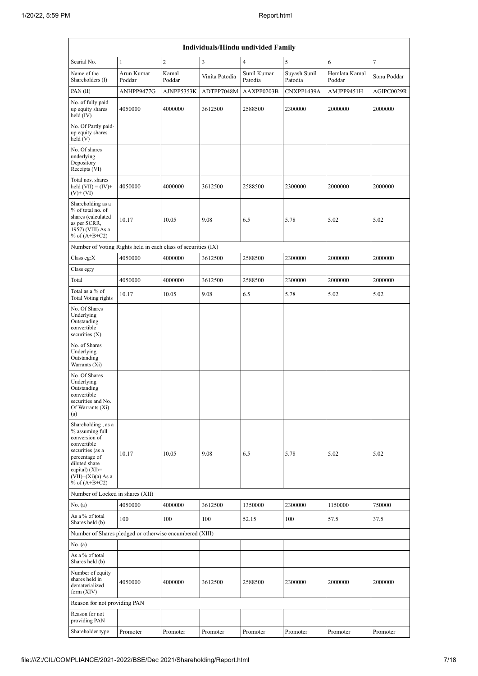| Individuals/Hindu undivided Family                                                                                                                                                         |                      |                 |                |                        |                         |                         |             |  |  |
|--------------------------------------------------------------------------------------------------------------------------------------------------------------------------------------------|----------------------|-----------------|----------------|------------------------|-------------------------|-------------------------|-------------|--|--|
| Searial No.                                                                                                                                                                                | 1                    | $\overline{c}$  | 3              | 4                      | 5                       | 6                       | 7           |  |  |
| Name of the<br>Shareholders (I)                                                                                                                                                            | Arun Kumar<br>Poddar | Kamal<br>Poddar | Vinita Patodia | Sunil Kumar<br>Patodia | Suyash Sunil<br>Patodia | Hemlata Kamal<br>Poddar | Sonu Poddar |  |  |
| PAN(II)                                                                                                                                                                                    | ANHPP9477G           | AJNPP5353K      | ADTPP7048M     | AAXPP0203B             | CNXPP1439A              | AMJPP9451H              | AGIPC0029R  |  |  |
| No. of fully paid<br>up equity shares<br>held (IV)                                                                                                                                         | 4050000              | 4000000         | 3612500        | 2588500                | 2300000                 | 2000000                 | 2000000     |  |  |
| No. Of Partly paid-<br>up equity shares<br>held (V)                                                                                                                                        |                      |                 |                |                        |                         |                         |             |  |  |
| No. Of shares<br>underlying<br>Depository<br>Receipts (VI)                                                                                                                                 |                      |                 |                |                        |                         |                         |             |  |  |
| Total nos. shares<br>held $(VII) = (IV) +$<br>$(V)$ + $(VI)$                                                                                                                               | 4050000              | 4000000         | 3612500        | 2588500                | 2300000                 | 2000000                 | 2000000     |  |  |
| Shareholding as a<br>% of total no. of<br>shares (calculated<br>as per SCRR,<br>1957) (VIII) As a<br>% of $(A+B+C2)$                                                                       | 10.17                | 10.05           | 9.08           | 6.5                    | 5.78                    | 5.02                    | 5.02        |  |  |
| Number of Voting Rights held in each class of securities (IX)                                                                                                                              |                      |                 |                |                        |                         |                         |             |  |  |
| Class eg:X                                                                                                                                                                                 | 4050000              | 4000000         | 3612500        | 2588500                | 2300000                 | 2000000                 | 2000000     |  |  |
| Class eg:y                                                                                                                                                                                 |                      |                 |                |                        |                         |                         |             |  |  |
| Total                                                                                                                                                                                      | 4050000              | 4000000         | 3612500        | 2588500                | 2300000                 | 2000000                 | 2000000     |  |  |
| Total as a % of<br>Total Voting rights                                                                                                                                                     | 10.17                | 10.05           | 9.08           | 6.5                    | 5.78                    | 5.02                    | 5.02        |  |  |
| No. Of Shares<br>Underlying<br>Outstanding<br>convertible<br>securities $(X)$                                                                                                              |                      |                 |                |                        |                         |                         |             |  |  |
| No. of Shares<br>Underlying<br>Outstanding<br>Warrants (Xi)                                                                                                                                |                      |                 |                |                        |                         |                         |             |  |  |
| No. Of Shares<br>Underlying<br>Outstanding<br>convertible<br>securities and No.<br>Of Warrants (Xi)<br>(a)                                                                                 |                      |                 |                |                        |                         |                         |             |  |  |
| Shareholding, as a<br>% assuming full<br>conversion of<br>convertible<br>securities (as a<br>percentage of<br>diluted share<br>capital) $(XI)=$<br>$(VII)+(Xi)(a) As a$<br>% of $(A+B+C2)$ | 10.17                | 10.05           | 9.08           | 6.5                    | 5.78                    | 5.02                    | 5.02        |  |  |
| Number of Locked in shares (XII)                                                                                                                                                           |                      |                 |                |                        |                         |                         |             |  |  |
| No. (a)                                                                                                                                                                                    | 4050000              | 4000000         | 3612500        | 1350000                | 2300000                 | 1150000                 | 750000      |  |  |
| As a % of total<br>Shares held (b)                                                                                                                                                         | 100                  | 100             | 100            | 52.15                  | 100                     | 57.5                    | 37.5        |  |  |
| Number of Shares pledged or otherwise encumbered (XIII)                                                                                                                                    |                      |                 |                |                        |                         |                         |             |  |  |
| No. (a)                                                                                                                                                                                    |                      |                 |                |                        |                         |                         |             |  |  |
| As a % of total<br>Shares held (b)                                                                                                                                                         |                      |                 |                |                        |                         |                         |             |  |  |
| Number of equity<br>shares held in<br>dematerialized<br>form $(XIV)$                                                                                                                       | 4050000              | 4000000         | 3612500        | 2588500                | 2300000                 | 2000000                 | 2000000     |  |  |
| Reason for not providing PAN                                                                                                                                                               |                      |                 |                |                        |                         |                         |             |  |  |
| Reason for not<br>providing PAN                                                                                                                                                            |                      |                 |                |                        |                         |                         |             |  |  |
| Shareholder type                                                                                                                                                                           | Promoter             | Promoter        | Promoter       | Promoter               | Promoter                | Promoter                | Promoter    |  |  |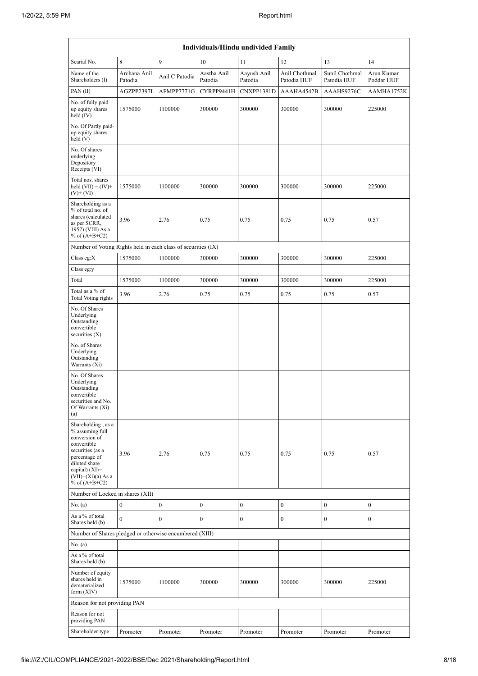|                                                                                                                                                                                            | Individuals/Hindu undivided Family |                  |                        |                        |                              |                               |                          |  |  |
|--------------------------------------------------------------------------------------------------------------------------------------------------------------------------------------------|------------------------------------|------------------|------------------------|------------------------|------------------------------|-------------------------------|--------------------------|--|--|
| Searial No.                                                                                                                                                                                | 8                                  | 9                | 10                     | 11                     | 12                           | 13                            | 14                       |  |  |
| Name of the<br>Shareholders (I)                                                                                                                                                            | Archana Anil<br>Patodia            | Anil C Patodia   | Aastha Anil<br>Patodia | Aayush Anil<br>Patodia | Anil Chothmal<br>Patodia HUF | Sunil Chothmal<br>Patodia HUF | Arun Kumar<br>Poddar HUF |  |  |
| PAN(II)                                                                                                                                                                                    | AGZPP2397L                         | AFMPP7771G       | CYRPP9441H             | CNXPP1381D             | AAAHA4542B                   | AAAHS9276C                    | AAMHA1752K               |  |  |
| No. of fully paid<br>up equity shares<br>held (IV)                                                                                                                                         | 1575000                            | 1100000          | 300000                 | 300000                 | 300000                       | 300000                        | 225000                   |  |  |
| No. Of Partly paid-<br>up equity shares<br>held (V)                                                                                                                                        |                                    |                  |                        |                        |                              |                               |                          |  |  |
| No. Of shares<br>underlying<br>Depository<br>Receipts (VI)                                                                                                                                 |                                    |                  |                        |                        |                              |                               |                          |  |  |
| Total nos. shares<br>held $(VII) = (IV) +$<br>$(V)$ + $(VI)$                                                                                                                               | 1575000                            | 1100000          | 300000                 | 300000                 | 300000                       | 300000                        | 225000                   |  |  |
| Shareholding as a<br>% of total no. of<br>shares (calculated<br>as per SCRR,<br>1957) (VIII) As a<br>% of $(A+B+C2)$                                                                       | 3.96                               | 2.76             | 0.75                   | 0.75                   | 0.75                         | 0.75                          | 0.57                     |  |  |
| Number of Voting Rights held in each class of securities (IX)                                                                                                                              |                                    |                  |                        |                        |                              |                               |                          |  |  |
| Class eg:X                                                                                                                                                                                 | 1575000                            | 1100000          | 300000                 | 300000                 | 300000                       | 300000                        | 225000                   |  |  |
| Class eg:y                                                                                                                                                                                 |                                    |                  |                        |                        |                              |                               |                          |  |  |
| Total                                                                                                                                                                                      | 1575000                            | 1100000          | 300000                 | 300000                 | 300000                       | 300000                        | 225000                   |  |  |
| Total as a % of<br>Total Voting rights                                                                                                                                                     | 3.96                               | 2.76             | 0.75                   | 0.75                   | 0.75                         | 0.75                          | 0.57                     |  |  |
| No. Of Shares<br>Underlying<br>Outstanding<br>convertible<br>securities $(X)$                                                                                                              |                                    |                  |                        |                        |                              |                               |                          |  |  |
| No. of Shares<br>Underlying<br>Outstanding<br>Warrants (Xi)                                                                                                                                |                                    |                  |                        |                        |                              |                               |                          |  |  |
| No. Of Shares<br>Underlying<br>Outstanding<br>convertible<br>securities and No.<br>Of Warrants (Xi)<br>(a)                                                                                 |                                    |                  |                        |                        |                              |                               |                          |  |  |
| Shareholding, as a<br>% assuming full<br>conversion of<br>convertible<br>securities (as a<br>percentage of<br>diluted share<br>capital) $(XI)=$<br>$(VII)+(Xi)(a) As a$<br>% of $(A+B+C2)$ | 3.96                               | 2.76             | 0.75                   | 0.75                   | 0.75                         | 0.75                          | 0.57                     |  |  |
| Number of Locked in shares (XII)                                                                                                                                                           |                                    |                  |                        |                        |                              |                               |                          |  |  |
| No. (a)                                                                                                                                                                                    | $\boldsymbol{0}$                   | $\boldsymbol{0}$ | $\boldsymbol{0}$       | $\boldsymbol{0}$       | $\boldsymbol{0}$             | $\boldsymbol{0}$              | $\boldsymbol{0}$         |  |  |
| As a % of total<br>Shares held (b)                                                                                                                                                         | $\mathbf{0}$                       | $\overline{0}$   | $\mathbf{0}$           | $\overline{0}$         | $\mathbf{0}$                 | $\boldsymbol{0}$              | $\mathbf{0}$             |  |  |
| Number of Shares pledged or otherwise encumbered (XIII)                                                                                                                                    |                                    |                  |                        |                        |                              |                               |                          |  |  |
| No. (a)<br>As a % of total                                                                                                                                                                 |                                    |                  |                        |                        |                              |                               |                          |  |  |
| Shares held (b)                                                                                                                                                                            |                                    |                  |                        |                        |                              |                               |                          |  |  |
| Number of equity<br>shares held in<br>dematerialized<br>form $(XIV)$                                                                                                                       | 1575000                            | 1100000          | 300000                 | 300000                 | 300000                       | 300000                        | 225000                   |  |  |
| Reason for not providing PAN                                                                                                                                                               |                                    |                  |                        |                        |                              |                               |                          |  |  |
| Reason for not<br>providing PAN                                                                                                                                                            |                                    |                  |                        |                        |                              |                               |                          |  |  |
| Shareholder type                                                                                                                                                                           | Promoter                           | Promoter         | Promoter               | Promoter               | Promoter                     | Promoter                      | Promoter                 |  |  |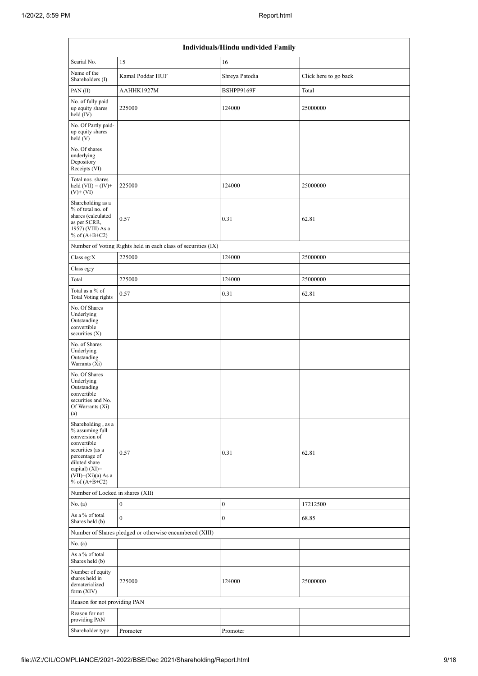| Individuals/Hindu undivided Family                                                                                                                                                          |                                                               |                  |                       |  |  |  |  |  |
|---------------------------------------------------------------------------------------------------------------------------------------------------------------------------------------------|---------------------------------------------------------------|------------------|-----------------------|--|--|--|--|--|
| Searial No.                                                                                                                                                                                 | 15                                                            | 16               |                       |  |  |  |  |  |
| Name of the<br>Shareholders (I)                                                                                                                                                             | Kamal Poddar HUF                                              | Shreya Patodia   | Click here to go back |  |  |  |  |  |
| PAN(II)                                                                                                                                                                                     | AAHHK1927M                                                    | BSHPP9169F       | Total                 |  |  |  |  |  |
| No. of fully paid<br>up equity shares<br>held $(IV)$                                                                                                                                        | 225000                                                        | 124000           | 25000000              |  |  |  |  |  |
| No. Of Partly paid-<br>up equity shares<br>held(V)                                                                                                                                          |                                                               |                  |                       |  |  |  |  |  |
| No. Of shares<br>underlying<br>Depository<br>Receipts (VI)                                                                                                                                  |                                                               |                  |                       |  |  |  |  |  |
| Total nos. shares<br>held $(VII) = (IV) +$<br>$(V)$ + $(VI)$                                                                                                                                | 225000                                                        | 124000           | 25000000              |  |  |  |  |  |
| Shareholding as a<br>% of total no. of<br>shares (calculated<br>as per SCRR,<br>1957) (VIII) As a<br>% of $(A+B+C2)$                                                                        | 0.57                                                          | 0.31             | 62.81                 |  |  |  |  |  |
|                                                                                                                                                                                             | Number of Voting Rights held in each class of securities (IX) |                  |                       |  |  |  |  |  |
| Class eg: $X$                                                                                                                                                                               | 225000                                                        | 124000           | 25000000              |  |  |  |  |  |
| Class eg:y                                                                                                                                                                                  |                                                               |                  |                       |  |  |  |  |  |
| Total                                                                                                                                                                                       | 225000                                                        | 124000           | 25000000              |  |  |  |  |  |
| Total as a % of<br>Total Voting rights                                                                                                                                                      | 0.57                                                          | 0.31             | 62.81                 |  |  |  |  |  |
| No. Of Shares<br>Underlying<br>Outstanding<br>convertible<br>securities (X)                                                                                                                 |                                                               |                  |                       |  |  |  |  |  |
| No. of Shares<br>Underlying<br>Outstanding<br>Warrants $(X_i)$                                                                                                                              |                                                               |                  |                       |  |  |  |  |  |
| No. Of Shares<br>Underlying<br>Outstanding<br>convertible<br>securities and No.<br>Of Warrants (Xi)<br>(a)                                                                                  |                                                               |                  |                       |  |  |  |  |  |
| Shareholding, as a<br>% assuming full<br>conversion of<br>convertible<br>securities (as a<br>percentage of<br>diluted share<br>capital) $(XI)$ =<br>$(VII)+(Xi)(a) As a$<br>% of $(A+B+C2)$ | 0.57                                                          | 0.31             | 62.81                 |  |  |  |  |  |
| Number of Locked in shares (XII)                                                                                                                                                            |                                                               |                  |                       |  |  |  |  |  |
| No. (a)                                                                                                                                                                                     | $\boldsymbol{0}$                                              | $\mathbf{0}$     | 17212500              |  |  |  |  |  |
| As a % of total<br>Shares held (b)                                                                                                                                                          | $\mathbf{0}$                                                  | $\boldsymbol{0}$ | 68.85                 |  |  |  |  |  |
|                                                                                                                                                                                             | Number of Shares pledged or otherwise encumbered (XIII)       |                  |                       |  |  |  |  |  |
| No. (a)                                                                                                                                                                                     |                                                               |                  |                       |  |  |  |  |  |
| As a % of total<br>Shares held (b)                                                                                                                                                          |                                                               |                  |                       |  |  |  |  |  |
| Number of equity<br>shares held in<br>dematerialized<br>form $(XIV)$                                                                                                                        | 225000                                                        | 124000           | 25000000              |  |  |  |  |  |
| Reason for not providing PAN                                                                                                                                                                |                                                               |                  |                       |  |  |  |  |  |
| Reason for not<br>providing PAN                                                                                                                                                             |                                                               |                  |                       |  |  |  |  |  |
| Shareholder type                                                                                                                                                                            | Promoter                                                      | Promoter         |                       |  |  |  |  |  |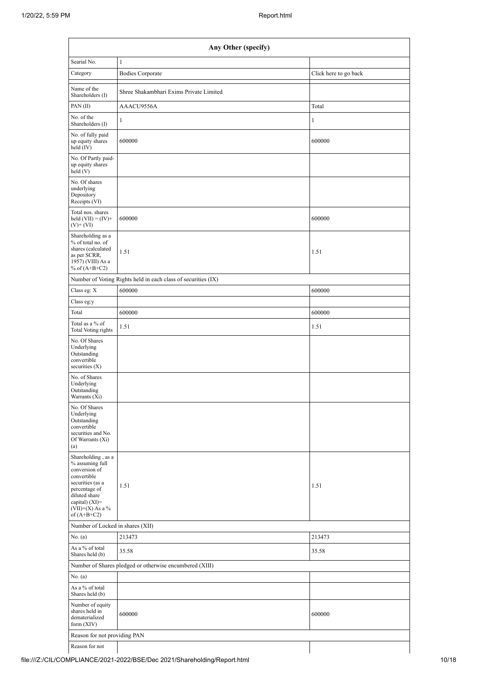|                                                                                                                                                                                        | Any Other (specify)                                           |                       |
|----------------------------------------------------------------------------------------------------------------------------------------------------------------------------------------|---------------------------------------------------------------|-----------------------|
| Searial No.                                                                                                                                                                            | $\mathbf{1}$                                                  |                       |
| Category                                                                                                                                                                               | <b>Bodies Corporate</b>                                       | Click here to go back |
| Name of the<br>Shareholders (I)                                                                                                                                                        | Shree Shakambhari Exims Private Limited                       |                       |
| PAN(II)                                                                                                                                                                                | AAACU9556A                                                    | Total                 |
| No. of the<br>Shareholders (I)                                                                                                                                                         | $\mathbf{1}$                                                  | 1                     |
| No. of fully paid<br>up equity shares<br>held $(IV)$                                                                                                                                   | 600000                                                        | 600000                |
| No. Of Partly paid-<br>up equity shares<br>held(V)                                                                                                                                     |                                                               |                       |
| No. Of shares<br>underlying<br>Depository<br>Receipts (VI)                                                                                                                             |                                                               |                       |
| Total nos. shares<br>held $(VII) = (IV) +$<br>$(V)$ + $(VI)$                                                                                                                           | 600000                                                        | 600000                |
| Shareholding as a<br>% of total no. of<br>shares (calculated<br>as per SCRR,<br>1957) (VIII) As a<br>% of $(A+B+C2)$                                                                   | 1.51                                                          | 1.51                  |
|                                                                                                                                                                                        | Number of Voting Rights held in each class of securities (IX) |                       |
| Class eg: X                                                                                                                                                                            | 600000                                                        | 600000                |
| Class eg:y                                                                                                                                                                             |                                                               |                       |
| Total                                                                                                                                                                                  | 600000                                                        | 600000                |
| Total as a % of<br><b>Total Voting rights</b>                                                                                                                                          | 1.51                                                          | 1.51                  |
| No. Of Shares<br>Underlying<br>Outstanding<br>convertible<br>securities $(X)$                                                                                                          |                                                               |                       |
| No. of Shares<br>Underlying<br>Outstanding<br>Warrants (Xi)                                                                                                                            |                                                               |                       |
| No. Of Shares<br>Underlying<br>Outstanding<br>convertible<br>securities and No.<br>Of Warrants (Xi)<br>(a)                                                                             |                                                               |                       |
| Shareholding, as a<br>% assuming full<br>conversion of<br>convertible<br>securities (as a<br>percentage of<br>diluted share<br>capital) $(XI)=$<br>$(VII)+(X)$ As a %<br>of $(A+B+C2)$ | 1.51                                                          | 1.51                  |
| Number of Locked in shares (XII)                                                                                                                                                       |                                                               |                       |
| No. (a)                                                                                                                                                                                | 213473                                                        | 213473                |
| As a % of total<br>Shares held (b)                                                                                                                                                     | 35.58                                                         | 35.58                 |
|                                                                                                                                                                                        | Number of Shares pledged or otherwise encumbered (XIII)       |                       |
| No. (a)                                                                                                                                                                                |                                                               |                       |
| As a % of total<br>Shares held (b)                                                                                                                                                     |                                                               |                       |
| Number of equity<br>shares held in<br>dematerialized<br>form $(XIV)$                                                                                                                   | 600000                                                        | 600000                |
| Reason for not providing PAN                                                                                                                                                           |                                                               |                       |
| Reason for not                                                                                                                                                                         |                                                               |                       |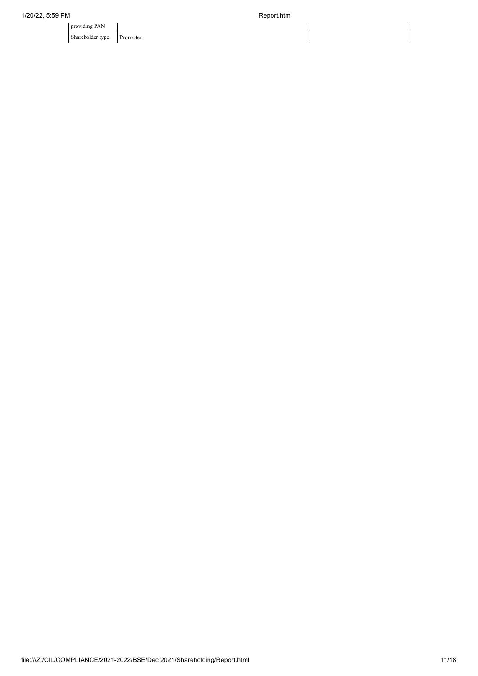| providing PAN                |          |  |
|------------------------------|----------|--|
| Shareholder type<br>$\sim$ 1 | Promoter |  |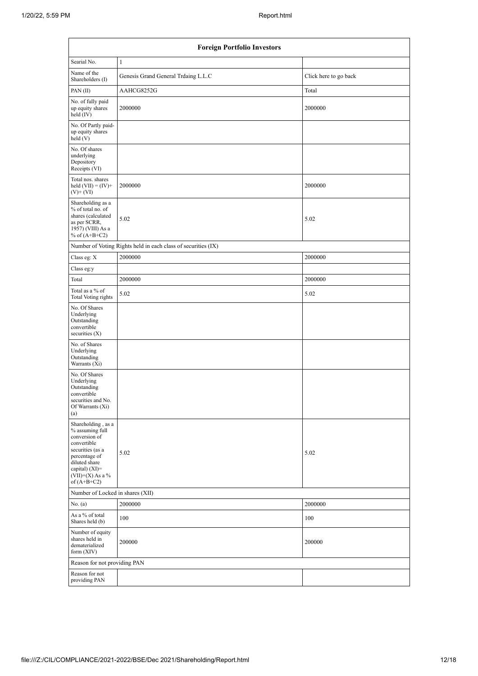| <b>Foreign Portfolio Investors</b>                                                                                                                                                      |                                                               |                       |  |  |  |  |  |  |
|-----------------------------------------------------------------------------------------------------------------------------------------------------------------------------------------|---------------------------------------------------------------|-----------------------|--|--|--|--|--|--|
| Searial No.                                                                                                                                                                             | $\mathbf{1}$                                                  |                       |  |  |  |  |  |  |
| Name of the<br>Shareholders (I)                                                                                                                                                         | Genesis Grand General Trdaing L.L.C                           | Click here to go back |  |  |  |  |  |  |
| PAN(II)                                                                                                                                                                                 | AAHCG8252G                                                    | Total                 |  |  |  |  |  |  |
| No. of fully paid<br>up equity shares<br>held $(IV)$                                                                                                                                    | 2000000                                                       | 2000000               |  |  |  |  |  |  |
| No. Of Partly paid-<br>up equity shares<br>held(V)                                                                                                                                      |                                                               |                       |  |  |  |  |  |  |
| No. Of shares<br>underlying<br>Depository<br>Receipts (VI)                                                                                                                              |                                                               |                       |  |  |  |  |  |  |
| Total nos. shares<br>held $(VII) = (IV) +$<br>$(V)$ + $(VI)$                                                                                                                            | 2000000                                                       | 2000000               |  |  |  |  |  |  |
| Shareholding as a<br>% of total no. of<br>shares (calculated<br>as per SCRR,<br>1957) (VIII) As a<br>% of $(A+B+C2)$                                                                    | 5.02                                                          | 5.02                  |  |  |  |  |  |  |
|                                                                                                                                                                                         | Number of Voting Rights held in each class of securities (IX) |                       |  |  |  |  |  |  |
| Class eg: X                                                                                                                                                                             | 2000000                                                       | 2000000               |  |  |  |  |  |  |
| Class eg:y                                                                                                                                                                              |                                                               |                       |  |  |  |  |  |  |
| Total                                                                                                                                                                                   | 2000000                                                       | 2000000               |  |  |  |  |  |  |
| Total as a % of<br>Total Voting rights                                                                                                                                                  | 5.02                                                          | 5.02                  |  |  |  |  |  |  |
| No. Of Shares<br>Underlying<br>Outstanding<br>convertible<br>securities $(X)$                                                                                                           |                                                               |                       |  |  |  |  |  |  |
| No. of Shares<br>Underlying<br>Outstanding<br>Warrants $(X_i)$                                                                                                                          |                                                               |                       |  |  |  |  |  |  |
| No. Of Shares<br>Underlying<br>Outstanding<br>convertible<br>securities and No.<br>Of Warrants (Xi)<br>(a)                                                                              |                                                               |                       |  |  |  |  |  |  |
| Shareholding, as a<br>% assuming full<br>conversion of<br>convertible<br>securities (as a<br>percentage of<br>diluted share<br>capital) $(XI)$ =<br>$(VII)+(X)$ As a %<br>of $(A+B+C2)$ | 5.02                                                          | 5.02                  |  |  |  |  |  |  |
| Number of Locked in shares (XII)                                                                                                                                                        |                                                               |                       |  |  |  |  |  |  |
| No. (a)                                                                                                                                                                                 | 2000000                                                       | 2000000               |  |  |  |  |  |  |
| As a % of total<br>Shares held (b)                                                                                                                                                      | 100                                                           | 100                   |  |  |  |  |  |  |
| Number of equity<br>shares held in<br>dematerialized<br>form $(XIV)$                                                                                                                    | 200000                                                        | 200000                |  |  |  |  |  |  |
| Reason for not providing PAN                                                                                                                                                            |                                                               |                       |  |  |  |  |  |  |
| Reason for not<br>providing PAN                                                                                                                                                         |                                                               |                       |  |  |  |  |  |  |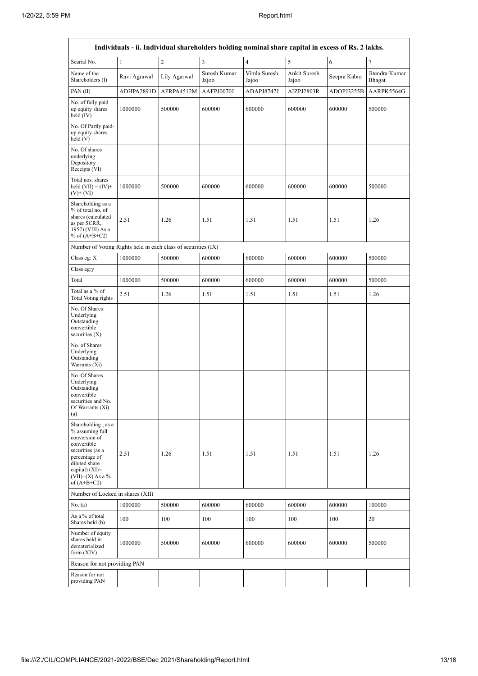ŕ

| Individuals - ii. Individual shareholders holding nominal share capital in excess of Rs. 2 lakhs.                                                                                            |                   |                |                       |                       |                       |              |                          |  |  |  |
|----------------------------------------------------------------------------------------------------------------------------------------------------------------------------------------------|-------------------|----------------|-----------------------|-----------------------|-----------------------|--------------|--------------------------|--|--|--|
| Searial No.<br>$\mathbf{1}$                                                                                                                                                                  |                   | $\overline{2}$ | 3                     | $\overline{4}$        | $\sqrt{5}$            | 6            | 7                        |  |  |  |
| Name of the<br>Shareholders (I)                                                                                                                                                              | Ravi Agrawal      | Lily Agarwal   | Suresh Kumar<br>Jajoo | Vimla Suresh<br>Jajoo | Ankit Suresh<br>Jajoo | Seepra Kabra | Jitendra Kumar<br>Bhagat |  |  |  |
| PAN(II)                                                                                                                                                                                      | ADHPA2891D        | AFRPA4512M     | AAFPJ0070J            | ADAPJ8747J            | AIZPJ2803R            | ADOPJ3255B   | AARPK5564G               |  |  |  |
| No. of fully paid<br>up equity shares<br>held (IV)                                                                                                                                           | 1000000<br>500000 |                | 600000                | 600000<br>600000      |                       | 600000       | 500000                   |  |  |  |
| No. Of Partly paid-<br>up equity shares<br>held(V)                                                                                                                                           |                   |                |                       |                       |                       |              |                          |  |  |  |
| No. Of shares<br>underlying<br>Depository<br>Receipts (VI)                                                                                                                                   |                   |                |                       |                       |                       |              |                          |  |  |  |
| Total nos. shares<br>held $(VII) = (IV) +$<br>$(V)$ + $(VI)$                                                                                                                                 | 1000000           | 500000         | 600000<br>600000      |                       | 600000                | 600000       | 500000                   |  |  |  |
| Shareholding as a<br>% of total no. of<br>shares (calculated<br>2.51<br>as per SCRR,<br>1957) (VIII) As a<br>% of $(A+B+C2)$                                                                 |                   | 1.26           | 1.51                  | 1.51                  | 1.51                  | 1.51         |                          |  |  |  |
| Number of Voting Rights held in each class of securities (IX)                                                                                                                                |                   |                |                       |                       |                       |              |                          |  |  |  |
| Class eg: X                                                                                                                                                                                  | 1000000           | 500000         | 600000                | 600000                | 600000                | 600000       | 500000                   |  |  |  |
| Class eg:y                                                                                                                                                                                   |                   |                |                       |                       |                       |              |                          |  |  |  |
| Total                                                                                                                                                                                        | 1000000           | 500000         | 600000                | 600000                | 600000                | 600000       | 500000                   |  |  |  |
| Total as a % of<br>Total Voting rights                                                                                                                                                       | 2.51              | 1.26           | 1.51                  | 1.51                  | 1.51                  | 1.51         | 1.26                     |  |  |  |
| No. Of Shares<br>Underlying<br>Outstanding<br>convertible<br>securities $(X)$                                                                                                                |                   |                |                       |                       |                       |              |                          |  |  |  |
| No. of Shares<br>Underlying<br>Outstanding<br>Warrants (Xi)                                                                                                                                  |                   |                |                       |                       |                       |              |                          |  |  |  |
| No. Of Shares<br>Underlying<br>Outstanding<br>convertible<br>securities and No.<br>Of Warrants (Xi)<br>(a)                                                                                   |                   |                |                       |                       |                       |              |                          |  |  |  |
| Shareholding, as a<br>% assuming full<br>conversion of<br>convertible<br>securities (as a<br>2.51<br>percentage of<br>diluted share<br>capital) (XI)=<br>$(VII)+(X)$ As a %<br>of $(A+B+C2)$ |                   | 1.26           | 1.51                  | 1.51                  | 1.51                  | 1.51         | 1.26                     |  |  |  |
| Number of Locked in shares (XII)                                                                                                                                                             |                   |                |                       |                       |                       |              |                          |  |  |  |
| No. (a)                                                                                                                                                                                      | 1000000           | 500000         | 600000                | 600000                | 600000                | 600000       | 100000                   |  |  |  |
| As a % of total<br>Shares held (b)                                                                                                                                                           | 100               | 100            | 100                   | 100                   | 100                   | 100          | 20                       |  |  |  |
| Number of equity<br>shares held in<br>dematerialized<br>form $(XIV)$                                                                                                                         | 1000000           | 500000         | 600000                | 600000                | 600000                | 600000       | 500000                   |  |  |  |
| Reason for not providing PAN                                                                                                                                                                 |                   |                |                       |                       |                       |              |                          |  |  |  |
| Reason for not<br>providing PAN                                                                                                                                                              |                   |                |                       |                       |                       |              |                          |  |  |  |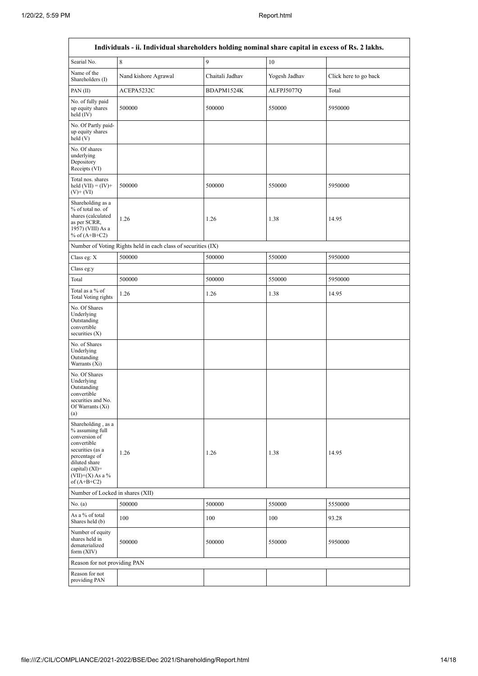| Individuals - ii. Individual shareholders holding nominal share capital in excess of Rs. 2 lakhs.                                                                                      |                                                               |                  |               |                       |  |  |  |  |  |  |
|----------------------------------------------------------------------------------------------------------------------------------------------------------------------------------------|---------------------------------------------------------------|------------------|---------------|-----------------------|--|--|--|--|--|--|
| Searial No.                                                                                                                                                                            | 8                                                             | 9                | 10            |                       |  |  |  |  |  |  |
| Name of the<br>Shareholders (I)                                                                                                                                                        | Nand kishore Agrawal                                          | Chaitali Jadhav  | Yogesh Jadhav | Click here to go back |  |  |  |  |  |  |
| PAN(II)                                                                                                                                                                                | ACEPA5232C                                                    | BDAPM1524K       | ALFPJ5077Q    | Total                 |  |  |  |  |  |  |
| No. of fully paid<br>up equity shares<br>held (IV)                                                                                                                                     | 500000<br>500000                                              |                  | 550000        | 5950000               |  |  |  |  |  |  |
| No. Of Partly paid-<br>up equity shares<br>held(V)                                                                                                                                     |                                                               |                  |               |                       |  |  |  |  |  |  |
| No. Of shares<br>underlying<br>Depository<br>Receipts (VI)                                                                                                                             |                                                               |                  |               |                       |  |  |  |  |  |  |
| Total nos. shares<br>held $(VII) = (IV) +$<br>$(V)$ + $(VI)$                                                                                                                           | 500000                                                        | 500000           | 550000        | 5950000               |  |  |  |  |  |  |
| Shareholding as a<br>% of total no. of<br>shares (calculated<br>as per SCRR,<br>1957) (VIII) As a<br>% of $(A+B+C2)$                                                                   | 1.26                                                          | 1.26<br>1.38     |               | 14.95                 |  |  |  |  |  |  |
|                                                                                                                                                                                        | Number of Voting Rights held in each class of securities (IX) |                  |               |                       |  |  |  |  |  |  |
| Class eg: X                                                                                                                                                                            | 500000                                                        | 500000           | 550000        | 5950000               |  |  |  |  |  |  |
| Class eg:y                                                                                                                                                                             |                                                               |                  |               |                       |  |  |  |  |  |  |
| Total                                                                                                                                                                                  | 500000                                                        | 500000           | 550000        | 5950000               |  |  |  |  |  |  |
| Total as a % of<br>Total Voting rights                                                                                                                                                 | 1.26                                                          | 1.26             | 1.38          | 14.95                 |  |  |  |  |  |  |
| No. Of Shares<br>Underlying<br>Outstanding<br>convertible<br>securities (X)                                                                                                            |                                                               |                  |               |                       |  |  |  |  |  |  |
| No. of Shares<br>Underlying<br>Outstanding<br>Warrants (Xi)                                                                                                                            |                                                               |                  |               |                       |  |  |  |  |  |  |
| No. Of Shares<br>Underlying<br>Outstanding<br>convertible<br>securities and No.<br>Of Warrants (Xi)<br>(a)                                                                             |                                                               |                  |               |                       |  |  |  |  |  |  |
| Shareholding, as a<br>% assuming full<br>conversion of<br>convertible<br>securities (as a<br>percentage of<br>diluted share<br>capital) $(XI)=$<br>$(VII)+(X)$ As a %<br>of $(A+B+C2)$ | 1.26                                                          | 1.26             | 1.38          | 14.95                 |  |  |  |  |  |  |
|                                                                                                                                                                                        | Number of Locked in shares (XII)                              |                  |               |                       |  |  |  |  |  |  |
| No. (a)                                                                                                                                                                                | 500000                                                        | 500000<br>550000 |               | 5550000               |  |  |  |  |  |  |
| As a % of total<br>Shares held (b)                                                                                                                                                     | 100                                                           | 100              | 100           | 93.28                 |  |  |  |  |  |  |
| Number of equity<br>shares held in<br>dematerialized<br>form $(XIV)$                                                                                                                   | 500000                                                        | 500000           | 550000        | 5950000               |  |  |  |  |  |  |
| Reason for not providing PAN                                                                                                                                                           |                                                               |                  |               |                       |  |  |  |  |  |  |
| Reason for not<br>providing PAN                                                                                                                                                        |                                                               |                  |               |                       |  |  |  |  |  |  |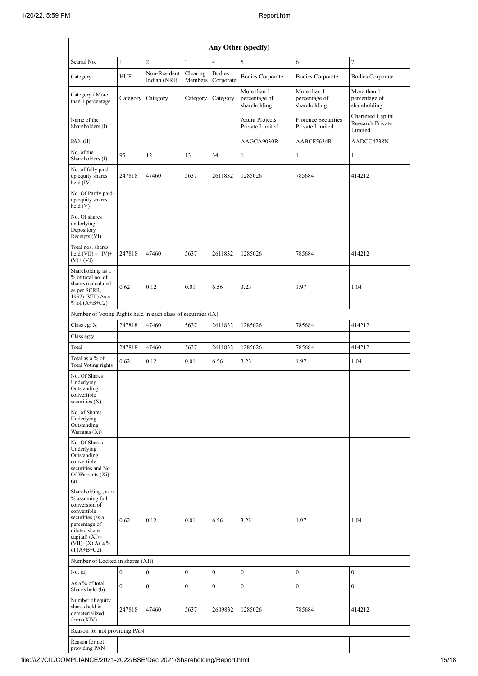| Any Other (specify)                                                                                                                                                                    |                  |                              |                     |                            |                                                                                    |                                              |                                                  |  |  |  |  |
|----------------------------------------------------------------------------------------------------------------------------------------------------------------------------------------|------------------|------------------------------|---------------------|----------------------------|------------------------------------------------------------------------------------|----------------------------------------------|--------------------------------------------------|--|--|--|--|
| Searial No.                                                                                                                                                                            | $\mathbf{1}$     | $\overline{c}$               | 3                   | $\overline{4}$             | 5                                                                                  | 6                                            | $\tau$                                           |  |  |  |  |
| Category                                                                                                                                                                               | <b>HUF</b>       | Non-Resident<br>Indian (NRI) | Clearing<br>Members | <b>Bodies</b><br>Corporate | <b>Bodies Corporate</b>                                                            | <b>Bodies Corporate</b>                      | <b>Bodies Corporate</b>                          |  |  |  |  |
| Category / More<br>than 1 percentage                                                                                                                                                   | Category         | Category                     | Category            | Category                   | More than 1<br>percentage of<br>shareholding                                       | More than 1<br>percentage of<br>shareholding | More than 1<br>percentage of<br>shareholding     |  |  |  |  |
| Name of the<br>Shareholders (I)                                                                                                                                                        |                  |                              |                     |                            | <b>Florence Securities</b><br>Azura Projects<br>Private Limited<br>Private Limited |                                              | Chartered Capital<br>Research Private<br>Limited |  |  |  |  |
| PAN(II)                                                                                                                                                                                |                  |                              |                     |                            | AAGCA9030R                                                                         | AABCF5634R                                   | AADCC4238N                                       |  |  |  |  |
| No. of the<br>Shareholders (I)                                                                                                                                                         | 95               | 12                           | 13                  | 34                         | $\mathbf{1}$                                                                       | $\mathbf{1}$                                 | $\mathbf{1}$                                     |  |  |  |  |
| No. of fully paid<br>up equity shares<br>held $(IV)$                                                                                                                                   | 247818           | 47460                        | 5637                | 2611832                    | 1285026                                                                            | 785684                                       | 414212                                           |  |  |  |  |
| No. Of Partly paid-<br>up equity shares<br>held (V)                                                                                                                                    |                  |                              |                     |                            |                                                                                    |                                              |                                                  |  |  |  |  |
| No. Of shares<br>underlying<br>Depository<br>Receipts (VI)                                                                                                                             |                  |                              |                     |                            |                                                                                    |                                              |                                                  |  |  |  |  |
| Total nos. shares<br>held $(VII) = (IV) +$<br>$(V)$ + $(VI)$                                                                                                                           | 247818           | 47460                        | 5637                | 2611832                    | 1285026                                                                            | 785684                                       | 414212                                           |  |  |  |  |
| Shareholding as a<br>% of total no. of<br>shares (calculated<br>as per SCRR,<br>1957) (VIII) As a<br>% of $(A+B+C2)$                                                                   | 0.62             | 0.12                         | 0.01                | 6.56                       | 3.23                                                                               | 1.97                                         | 1.04                                             |  |  |  |  |
| Number of Voting Rights held in each class of securities (IX)                                                                                                                          |                  |                              |                     |                            |                                                                                    |                                              |                                                  |  |  |  |  |
| Class eg: X                                                                                                                                                                            | 247818<br>47460  |                              | 5637                | 2611832                    | 1285026                                                                            | 785684                                       | 414212                                           |  |  |  |  |
| Class eg:y                                                                                                                                                                             |                  |                              |                     |                            |                                                                                    |                                              |                                                  |  |  |  |  |
| Total                                                                                                                                                                                  | 247818           | 47460                        | 5637                | 2611832                    | 1285026                                                                            | 785684                                       | 414212                                           |  |  |  |  |
| Total as a % of<br>Total Voting rights                                                                                                                                                 | 0.62             | 0.12                         | 0.01                | 6.56                       | 3.23<br>1.97                                                                       |                                              | 1.04                                             |  |  |  |  |
| No. Of Shares<br>Underlying<br>Outstanding<br>convertible<br>securities $(X)$                                                                                                          |                  |                              |                     |                            |                                                                                    |                                              |                                                  |  |  |  |  |
| No. of Shares<br>Underlying<br>Outstanding<br>Warrants (Xi)                                                                                                                            |                  |                              |                     |                            |                                                                                    |                                              |                                                  |  |  |  |  |
| No. Of Shares<br>Underlying<br>Outstanding<br>convertible<br>securities and No.<br>Of Warrants (Xi)<br>(a)                                                                             |                  |                              |                     |                            |                                                                                    |                                              |                                                  |  |  |  |  |
| Shareholding, as a<br>% assuming full<br>conversion of<br>convertible<br>securities (as a<br>percentage of<br>diluted share<br>capital) $(XI)=$<br>$(VII)+(X)$ As a %<br>of $(A+B+C2)$ | 0.62             | 0.12                         | 0.01                | 6.56                       | 3.23                                                                               | 1.97                                         | 1.04                                             |  |  |  |  |
| Number of Locked in shares (XII)                                                                                                                                                       |                  |                              |                     |                            |                                                                                    |                                              |                                                  |  |  |  |  |
| No. (a)                                                                                                                                                                                | $\boldsymbol{0}$ | $\boldsymbol{0}$             | $\boldsymbol{0}$    | $\boldsymbol{0}$           | $\boldsymbol{0}$                                                                   | $\boldsymbol{0}$                             | $\boldsymbol{0}$                                 |  |  |  |  |
| As a % of total<br>Shares held (b)                                                                                                                                                     | $\mathbf{0}$     | $\mathbf{0}$                 | $\boldsymbol{0}$    | $\boldsymbol{0}$           | $\boldsymbol{0}$                                                                   | $\boldsymbol{0}$                             | $\boldsymbol{0}$                                 |  |  |  |  |
| Number of equity<br>shares held in<br>dematerialized<br>form $(XIV)$                                                                                                                   | 247818           | 47460                        | 5637                | 2609832                    | 1285026<br>785684                                                                  |                                              | 414212                                           |  |  |  |  |
| Reason for not providing PAN                                                                                                                                                           |                  |                              |                     |                            |                                                                                    |                                              |                                                  |  |  |  |  |
| Reason for not<br>providing PAN                                                                                                                                                        |                  |                              |                     |                            |                                                                                    |                                              |                                                  |  |  |  |  |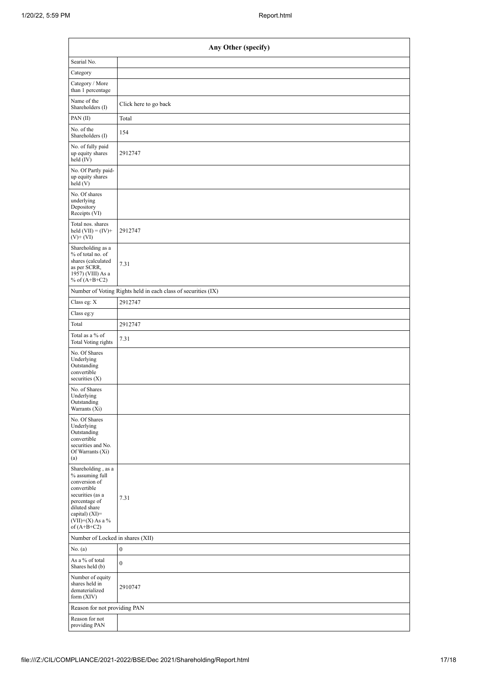| Any Other (specify)                                                                                                                                                                  |                                                               |  |  |  |  |  |  |  |
|--------------------------------------------------------------------------------------------------------------------------------------------------------------------------------------|---------------------------------------------------------------|--|--|--|--|--|--|--|
| Searial No.                                                                                                                                                                          |                                                               |  |  |  |  |  |  |  |
| Category                                                                                                                                                                             |                                                               |  |  |  |  |  |  |  |
| Category / More<br>than 1 percentage                                                                                                                                                 |                                                               |  |  |  |  |  |  |  |
| Name of the<br>Shareholders (I)                                                                                                                                                      | Click here to go back                                         |  |  |  |  |  |  |  |
| PAN(II)                                                                                                                                                                              | Total                                                         |  |  |  |  |  |  |  |
| No. of the<br>Shareholders (I)                                                                                                                                                       | 154                                                           |  |  |  |  |  |  |  |
| No. of fully paid<br>up equity shares<br>held (IV)                                                                                                                                   | 2912747                                                       |  |  |  |  |  |  |  |
| No. Of Partly paid-<br>up equity shares<br>held(V)                                                                                                                                   |                                                               |  |  |  |  |  |  |  |
| No. Of shares<br>underlying<br>Depository<br>Receipts (VI)                                                                                                                           |                                                               |  |  |  |  |  |  |  |
| Total nos. shares<br>held $(VII) = (IV) +$<br>$(V)$ + $(VI)$                                                                                                                         | 2912747                                                       |  |  |  |  |  |  |  |
| Shareholding as a<br>% of total no. of<br>shares (calculated<br>as per SCRR,<br>1957) (VIII) As a<br>% of $(A+B+C2)$                                                                 | 7.31                                                          |  |  |  |  |  |  |  |
|                                                                                                                                                                                      | Number of Voting Rights held in each class of securities (IX) |  |  |  |  |  |  |  |
| Class eg: $\mathbf X$                                                                                                                                                                | 2912747                                                       |  |  |  |  |  |  |  |
| Class eg:y                                                                                                                                                                           |                                                               |  |  |  |  |  |  |  |
| Total                                                                                                                                                                                | 2912747                                                       |  |  |  |  |  |  |  |
| Total as a % of<br>Total Voting rights                                                                                                                                               | 7.31                                                          |  |  |  |  |  |  |  |
| No. Of Shares<br>Underlying<br>Outstanding<br>convertible<br>securities $(X)$                                                                                                        |                                                               |  |  |  |  |  |  |  |
| No. of Shares<br>Underlying<br>Outstanding<br>Warrants (Xi)                                                                                                                          |                                                               |  |  |  |  |  |  |  |
| No. Of Shares<br>Underlying<br>Outstanding<br>convertible<br>securities and No.<br>Of Warrants (Xi)<br>(a)                                                                           |                                                               |  |  |  |  |  |  |  |
| Shareholding, as a<br>% assuming full<br>conversion of<br>convertible<br>securities (as a<br>percentage of<br>diluted share<br>capital) (XI)=<br>$(VII)+(X)$ As a %<br>of $(A+B+C2)$ | 7.31                                                          |  |  |  |  |  |  |  |
| Number of Locked in shares (XII)                                                                                                                                                     |                                                               |  |  |  |  |  |  |  |
| No. (a)                                                                                                                                                                              | $\boldsymbol{0}$                                              |  |  |  |  |  |  |  |
| As a % of total<br>Shares held (b)                                                                                                                                                   | $\mathbf{0}$                                                  |  |  |  |  |  |  |  |
| Number of equity<br>shares held in<br>dematerialized<br>form (XIV)                                                                                                                   | 2910747                                                       |  |  |  |  |  |  |  |
| Reason for not providing PAN                                                                                                                                                         |                                                               |  |  |  |  |  |  |  |
| Reason for not<br>providing PAN                                                                                                                                                      |                                                               |  |  |  |  |  |  |  |